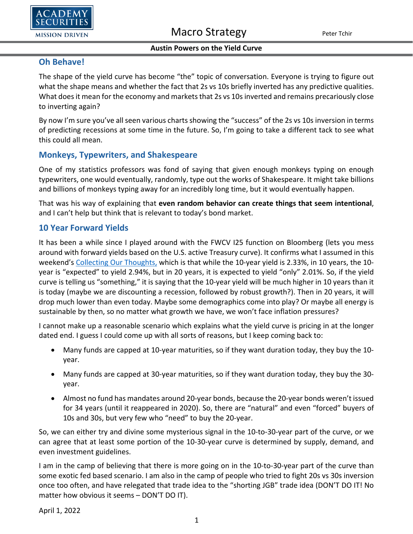

## **Oh Behave!**

The shape of the yield curve has become "the" topic of conversation. Everyone is trying to figure out what the shape means and whether the fact that 2s vs 10s briefly inverted has any predictive qualities. What does it mean for the economy and markets that 2s vs 10s inverted and remains precariously close to inverting again?

By now I'm sure you've all seen various charts showing the "success" of the 2s vs 10s inversion in terms of predicting recessions at some time in the future. So, I'm going to take a different tack to see what this could all mean.

## **Monkeys, Typewriters, and Shakespeare**

One of my statistics professors was fond of saying that given enough monkeys typing on enough typewriters, one would eventually, randomly, type out the works of Shakespeare. It might take billions and billions of monkeys typing away for an incredibly long time, but it would eventually happen.

That was his way of explaining that **even random behavior can create things that seem intentional**, and I can't help but think that is relevant to today's bond market.

### **10 Year Forward Yields**

It has been a while since I played around with the FWCV I25 function on Bloomberg (lets you mess around with forward yields based on the U.S. active Treasury curve). It confirms what I assumed in this weekend's [Collecting Our Thoughts,](https://www.academysecurities.com/wordpress/wp-content/uploads/2022/03/Collecting-Our-Thoughts-1.pdf) which is that while the 10-year yield is 2.33%, in 10 years, the 10 year is "expected" to yield 2.94%, but in 20 years, it is expected to yield "only" 2.01%. So, if the yield curve is telling us "something," it is saying that the 10-year yield will be much higher in 10 years than it is today (maybe we are discounting a recession, followed by robust growth?). Then in 20 years, it will drop much lower than even today. Maybe some demographics come into play? Or maybe all energy is sustainable by then, so no matter what growth we have, we won't face inflation pressures?

I cannot make up a reasonable scenario which explains what the yield curve is pricing in at the longer dated end. I guess I could come up with all sorts of reasons, but I keep coming back to:

- Many funds are capped at 10-year maturities, so if they want duration today, they buy the 10 year.
- Many funds are capped at 30-year maturities, so if they want duration today, they buy the 30 year.
- Almost no fund has mandates around 20-year bonds, because the 20-year bonds weren't issued for 34 years (until it reappeared in 2020). So, there are "natural" and even "forced" buyers of 10s and 30s, but very few who "need" to buy the 20-year.

So, we can either try and divine some mysterious signal in the 10-to-30-year part of the curve, or we can agree that at least some portion of the 10-30-year curve is determined by supply, demand, and even investment guidelines.

I am in the camp of believing that there is more going on in the 10-to-30-year part of the curve than some exotic fed based scenario. I am also in the camp of people who tried to fight 20s vs 30s inversion once too often, and have relegated that trade idea to the "shorting JGB" trade idea (DON'T DO IT! No matter how obvious it seems – DON'T DO IT).

April 1, 2022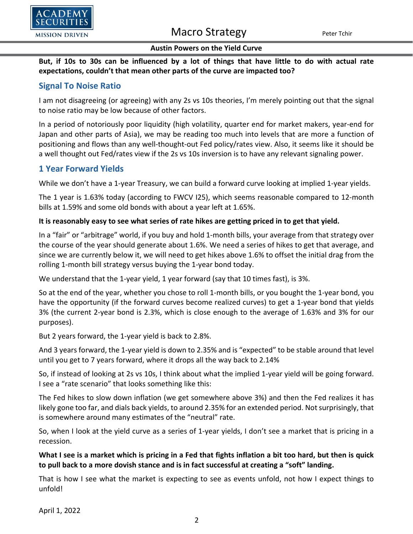

# Macro Strategy Peter Tchir

#### **Austin Powers on the Yield Curve**

**But, if 10s to 30s can be influenced by a lot of things that have little to do with actual rate expectations, couldn't that mean other parts of the curve are impacted too?**

## **Signal To Noise Ratio**

I am not disagreeing (or agreeing) with any 2s vs 10s theories, I'm merely pointing out that the signal to noise ratio may be low because of other factors.

In a period of notoriously poor liquidity (high volatility, quarter end for market makers, year-end for Japan and other parts of Asia), we may be reading too much into levels that are more a function of positioning and flows than any well-thought-out Fed policy/rates view. Also, it seems like it should be a well thought out Fed/rates view if the 2s vs 10s inversion is to have any relevant signaling power.

### **1 Year Forward Yields**

While we don't have a 1-year Treasury, we can build a forward curve looking at implied 1-year yields.

The 1 year is 1.63% today (according to FWCV I25), which seems reasonable compared to 12-month bills at 1.59% and some old bonds with about a year left at 1.65%.

#### **It is reasonably easy to see what series of rate hikes are getting priced in to get that yield.**

In a "fair" or "arbitrage" world, if you buy and hold 1-month bills, your average from that strategy over the course of the year should generate about 1.6%. We need a series of hikes to get that average, and since we are currently below it, we will need to get hikes above 1.6% to offset the initial drag from the rolling 1-month bill strategy versus buying the 1-year bond today.

We understand that the 1-year yield, 1 year forward (say that 10 times fast), is 3%.

So at the end of the year, whether you chose to roll 1-month bills, or you bought the 1-year bond, you have the opportunity (if the forward curves become realized curves) to get a 1-year bond that yields 3% (the current 2-year bond is 2.3%, which is close enough to the average of 1.63% and 3% for our purposes).

But 2 years forward, the 1-year yield is back to 2.8%.

And 3 years forward, the 1-year yield is down to 2.35% and is "expected" to be stable around that level until you get to 7 years forward, where it drops all the way back to 2.14%

So, if instead of looking at 2s vs 10s, I think about what the implied 1-year yield will be going forward. I see a "rate scenario" that looks something like this:

The Fed hikes to slow down inflation (we get somewhere above 3%) and then the Fed realizes it has likely gone too far, and dials back yields, to around 2.35% for an extended period. Not surprisingly, that is somewhere around many estimates of the "neutral" rate.

So, when I look at the yield curve as a series of 1-year yields, I don't see a market that is pricing in a recession.

#### **What I see is a market which is pricing in a Fed that fights inflation a bit too hard, but then is quick to pull back to a more dovish stance and is in fact successful at creating a "soft" landing.**

That is how I see what the market is expecting to see as events unfold, not how I expect things to unfold!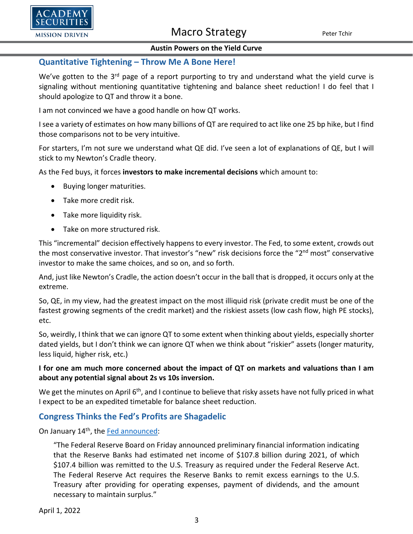

## Macro Strategy Peter Tchir

#### **Austin Powers on the Yield Curve**

#### **Quantitative Tightening – Throw Me A Bone Here!**

We've gotten to the 3<sup>rd</sup> page of a report purporting to try and understand what the yield curve is signaling without mentioning quantitative tightening and balance sheet reduction! I do feel that I should apologize to QT and throw it a bone.

I am not convinced we have a good handle on how QT works.

I see a variety of estimates on how many billions of QT are required to act like one 25 bp hike, but I find those comparisons not to be very intuitive.

For starters, I'm not sure we understand what QE did. I've seen a lot of explanations of QE, but I will stick to my Newton's Cradle theory.

As the Fed buys, it forces **investors to make incremental decisions** which amount to:

- Buying longer maturities.
- Take more credit risk.
- Take more liquidity risk.
- Take on more structured risk.

This "incremental" decision effectively happens to every investor. The Fed, to some extent, crowds out the most conservative investor. That investor's "new" risk decisions force the "2<sup>nd</sup> most" conservative investor to make the same choices, and so on, and so forth.

And, just like Newton's Cradle, the action doesn't occur in the ball that is dropped, it occurs only at the extreme.

So, QE, in my view, had the greatest impact on the most illiquid risk (private credit must be one of the fastest growing segments of the credit market) and the riskiest assets (low cash flow, high PE stocks), etc.

So, weirdly, I think that we can ignore QT to some extent when thinking about yields, especially shorter dated yields, but I don't think we can ignore QT when we think about "riskier" assets (longer maturity, less liquid, higher risk, etc.)

#### **I for one am much more concerned about the impact of QT on markets and valuations than I am about any potential signal about 2s vs 10s inversion.**

We get the minutes on April 6<sup>th</sup>, and I continue to believe that risky assets have not fully priced in what I expect to be an expedited timetable for balance sheet reduction.

## **Congress Thinks the Fed's Profits are Shagadelic**

On January 14<sup>th</sup>, the [Fed announced:](https://www.federalreserve.gov/newsevents/pressreleases/other20220114a.htm)

"The Federal Reserve Board on Friday announced preliminary financial information indicating that the Reserve Banks had estimated net income of \$107.8 billion during 2021, of which \$107.4 billion was remitted to the U.S. Treasury as required under the Federal Reserve Act. The Federal Reserve Act requires the Reserve Banks to remit excess earnings to the U.S. Treasury after providing for operating expenses, payment of dividends, and the amount necessary to maintain surplus."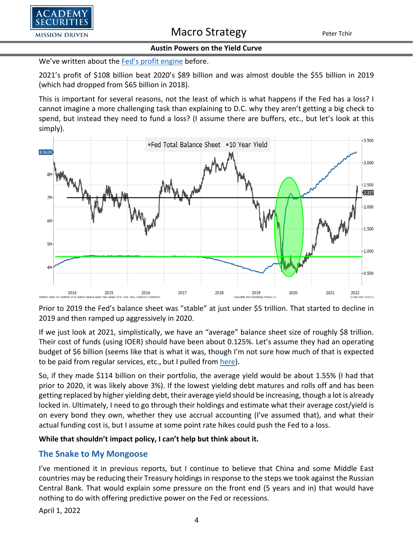

We've written about the [Fed's profit engine](https://www.academysecurities.com/wordpress/wp-content/uploads/2021/10/Central-Bank-Policy-Mistake-or-Fund-Positioning-Mistake.pdf) before.

2021's profit of \$108 billion beat 2020's \$89 billion and was almost double the \$55 billion in 2019 (which had dropped from \$65 billion in 2018).

This is important for several reasons, not the least of which is what happens if the Fed has a loss? I cannot imagine a more challenging task than explaining to D.C. why they aren't getting a big check to spend, but instead they need to fund a loss? (I assume there are buffers, etc., but let's look at this simply).



Prior to 2019 the Fed's balance sheet was "stable" at just under \$5 trillion. That started to decline in 2019 and then ramped up aggressively in 2020.

If we just look at 2021, simplistically, we have an "average" balance sheet size of roughly \$8 trillion. Their cost of funds (using IOER) should have been about 0.125%. Let's assume they had an operating budget of \$6 billion (seems like that is what it was, though I'm not sure how much of that is expected to be paid from regular services, etc., but I pulled from [here\)](https://www.federalreserve.gov/publications/2020-ar-federal-reserve-system-budgets.htm#:%7E:text=Return%20to%20table-,2020%20Budget%20Performance,for%20reimbursement%2C%20and%20other%20income.).

So, if they made \$114 billion on their portfolio, the average yield would be about 1.55% (I had that prior to 2020, it was likely above 3%). If the lowest yielding debt matures and rolls off and has been getting replaced by higher yielding debt, their average yield should be increasing, though a lot is already locked in. Ultimately, I need to go through their holdings and estimate what their average cost/yield is on every bond they own, whether they use accrual accounting (I've assumed that), and what their actual funding cost is, but I assume at some point rate hikes could push the Fed to a loss.

#### **While that shouldn't impact policy, I can't help but think about it.**

## **The Snake to My Mongoose**

I've mentioned it in previous reports, but I continue to believe that China and some Middle East countries may be reducing their Treasury holdings in response to the steps we took against the Russian Central Bank. That would explain some pressure on the front end (5 years and in) that would have nothing to do with offering predictive power on the Fed or recessions.

April 1, 2022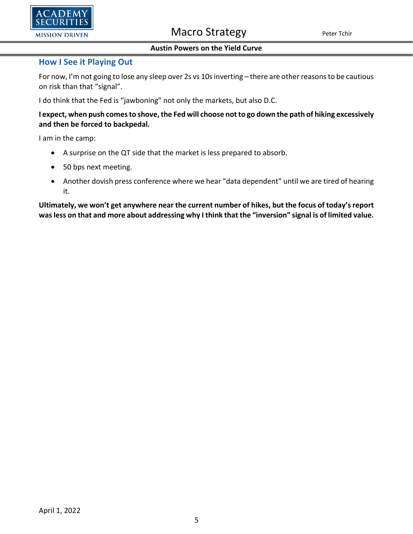

#### **How I See it Playing Out**

For now, I'm not going to lose any sleep over 2s vs 10s inverting – there are other reasons to be cautious on risk than that "signal".

I do think that the Fed is "jawboning" not only the markets, but also D.C.

**I expect, when push comes to shove, the Fed will choose not to go down the path of hiking excessively and then be forced to backpedal.**

I am in the camp:

- A surprise on the QT side that the market is less prepared to absorb.
- 50 bps next meeting.
- Another dovish press conference where we hear "data dependent" until we are tired of hearing it.

**Ultimately, we won't get anywhere near the current number of hikes, but the focus of today's report was less on that and more about addressing why I think that the "inversion" signal is of limited value.**